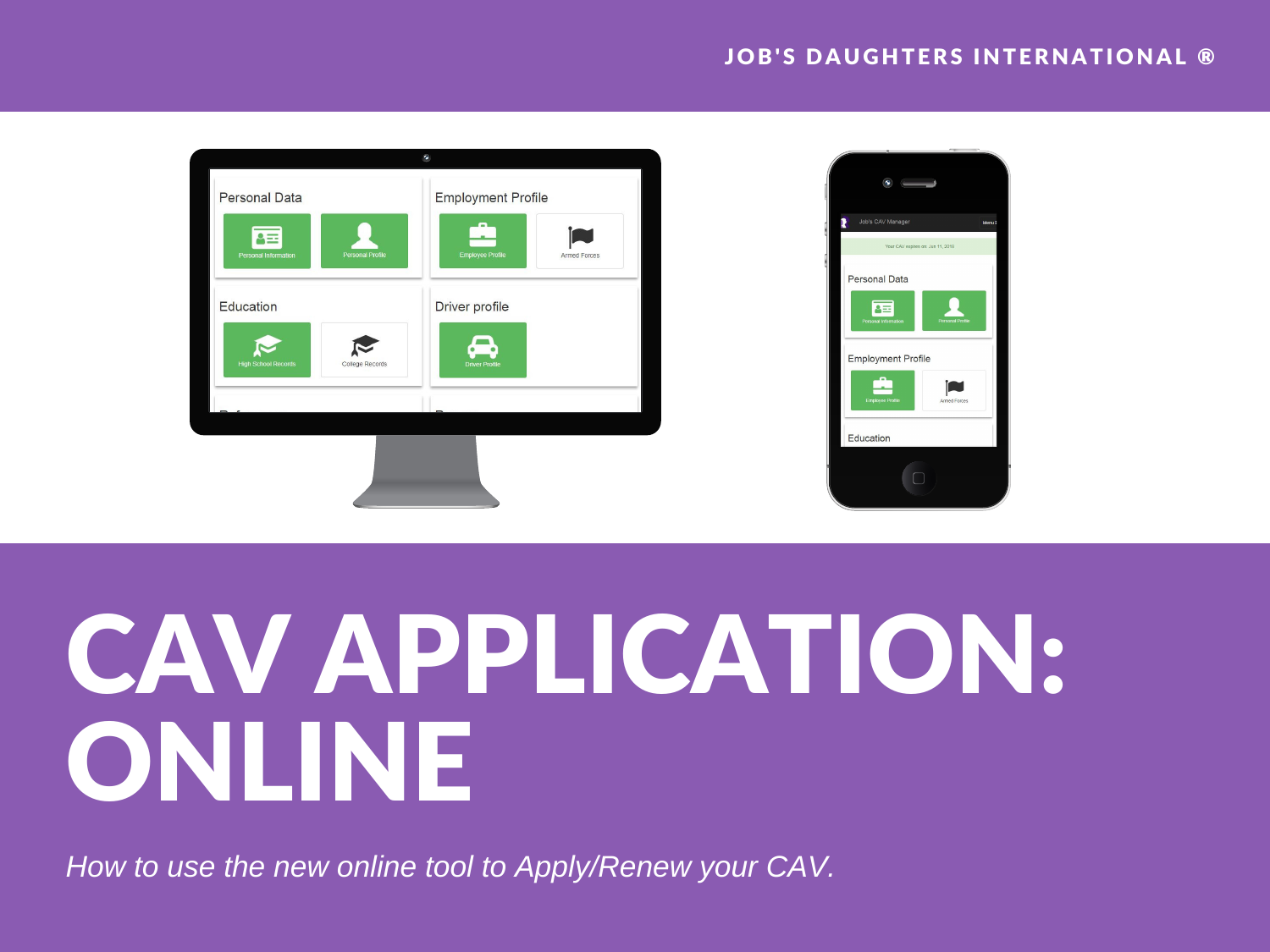#### **JOB'S DAUGHTERS INTERNATIONAL ®**





## CAV APPLICATION: ONLINE

*How to use the new online tool to Apply/Renew your CAV.*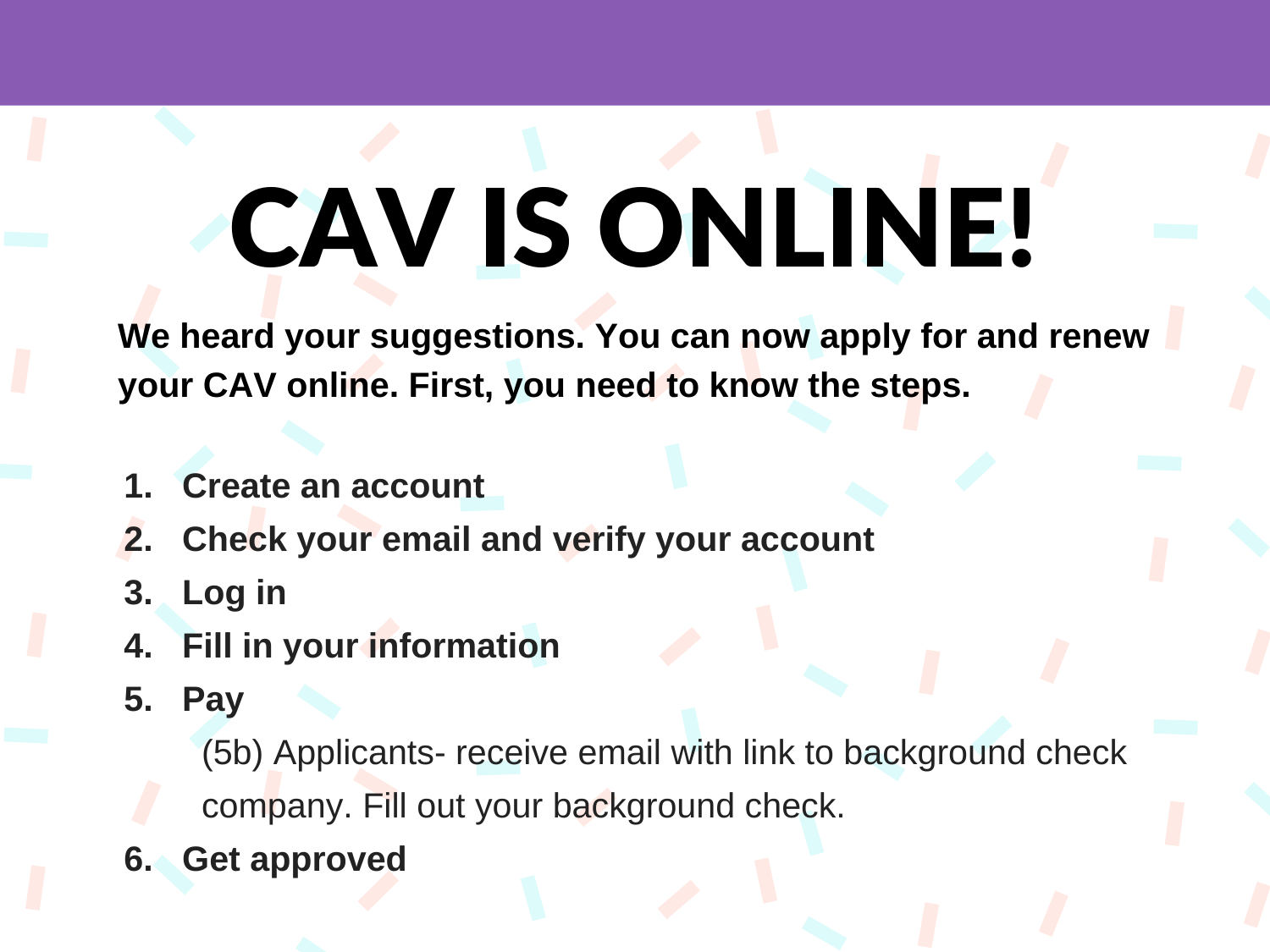# CAV IS ONLINE!

**We heard your suggestions. You can now apply for and renew your CAV online. First, you need to know the steps.**

- **1. Create an account**
- **2. Check your email and verify your account**
- **3. Log in**
- **4. Fill in your information**
- **5. Pay**

(5b) Applicants- receive email with link to background check company. Fill out your background check.

**6. Get approved**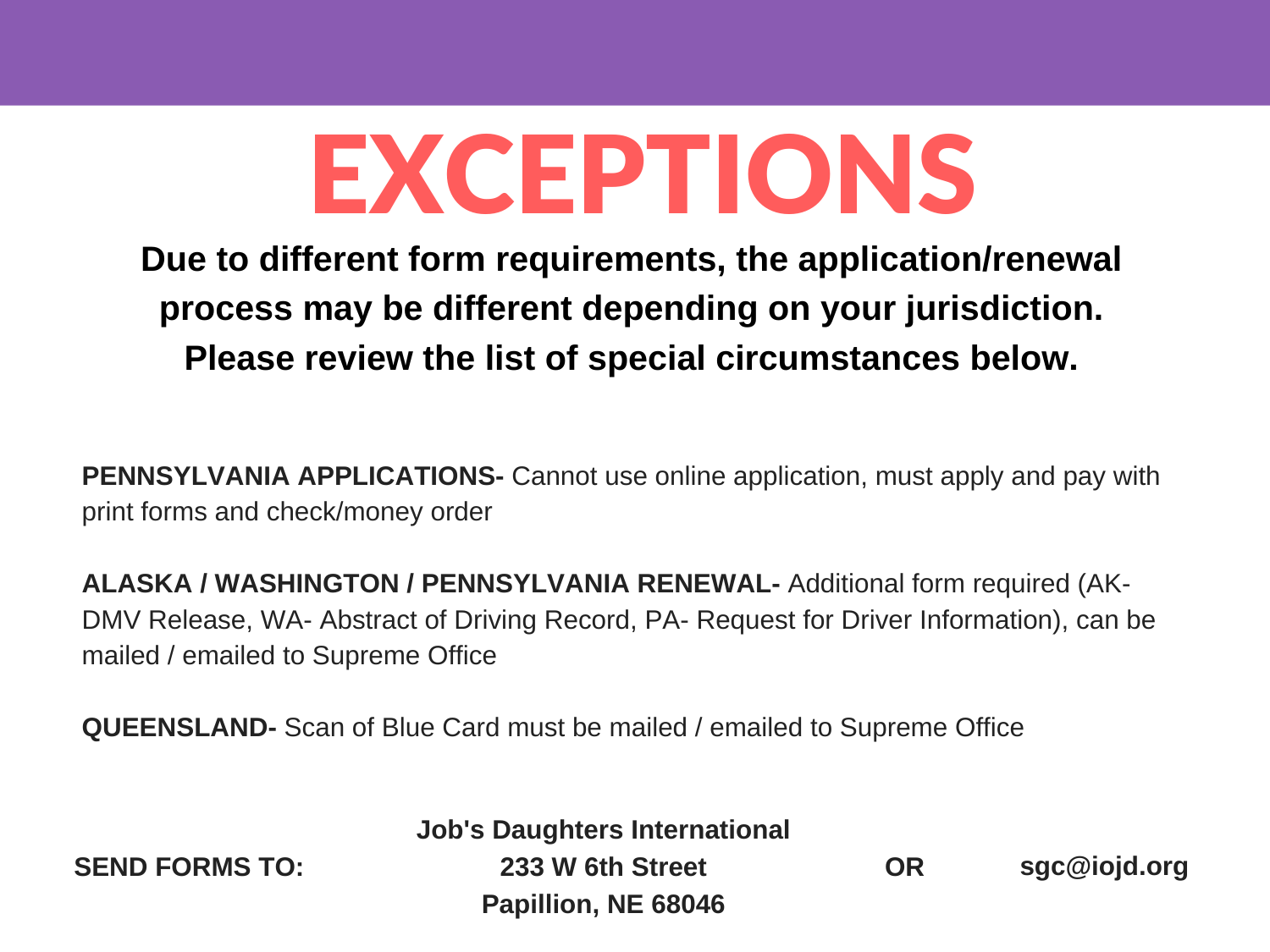### EXCEPTIONS

**Due to different form requirements, the application/renewal process may be different depending on your jurisdiction. Please review the list of special circumstances below.**

**PENNSYLVANIA APPLICATIONS-** Cannot use online application, must apply and pay with print forms and check/money order

**ALASKA / WASHINGTON / PENNSYLVANIA RENEWAL-** Additional form required (AK-DMV Release, WA- Abstract of Driving Record, PA- Request for Driver Information), can be mailed / emailed to Supreme Office

**QUEENSLAND-** Scan of Blue Card must be mailed / emailed to Supreme Office

**SEND FORMS TO:**

**Job's Daughters International 233 W 6th Street Papillion, NE 68046**

**OR sgc@iojd.org**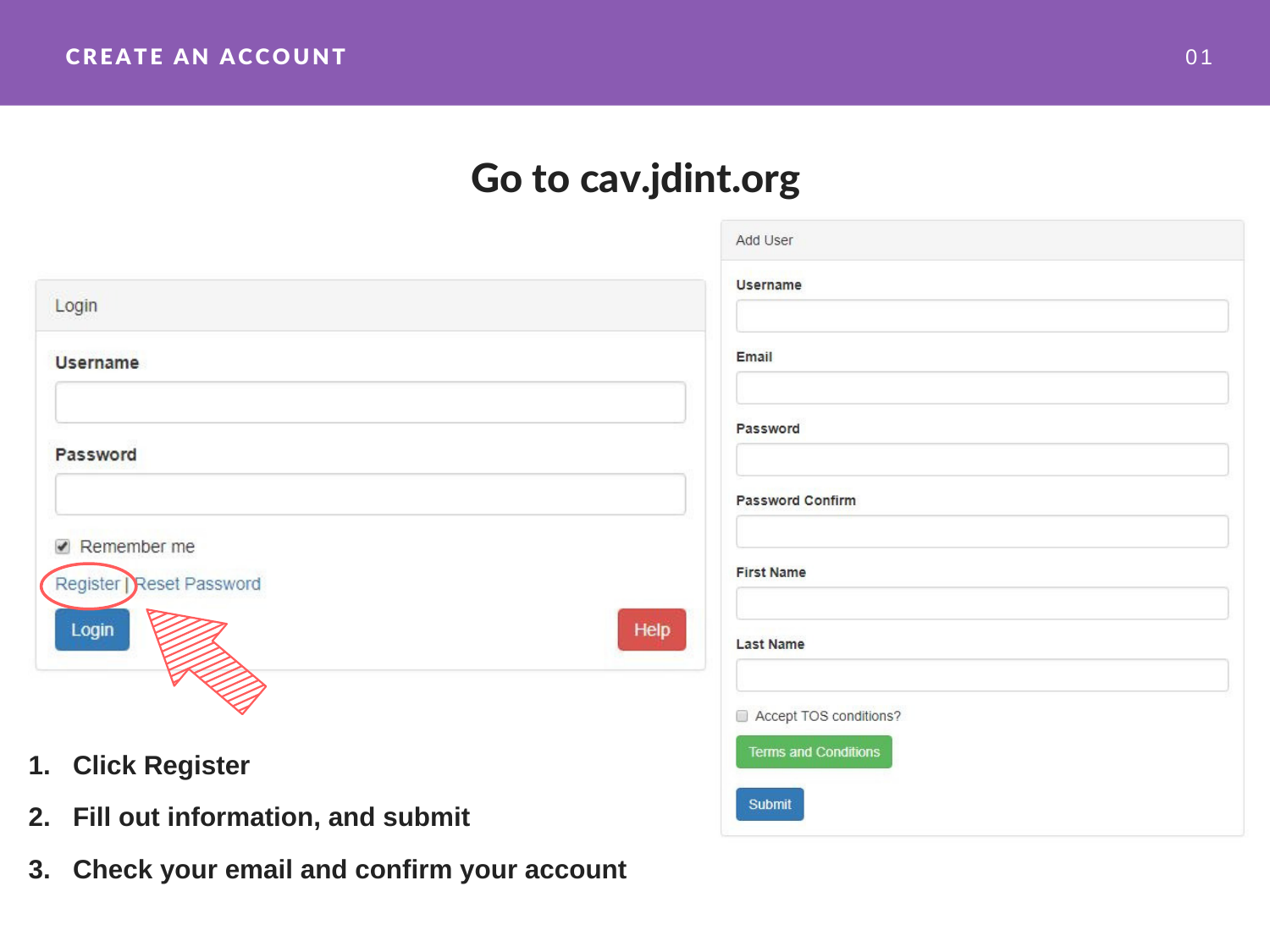#### Go to cav.jdint.org

|                                          | Add User                    |
|------------------------------------------|-----------------------------|
| Login                                    | <b>Username</b>             |
| <b>Username</b>                          | Email                       |
| Password                                 | Password                    |
|                                          | <b>Password Confirm</b>     |
| Remember me<br>Register   Reset Password | <b>First Name</b>           |
| Help<br>Login                            | <b>Last Name</b>            |
|                                          | Accept TOS conditions?      |
| 1. Click Register                        | <b>Terms and Conditions</b> |
| 2. Fill out information, and submit      | <b>Submit</b>               |

**3. Check your email and confirm your account**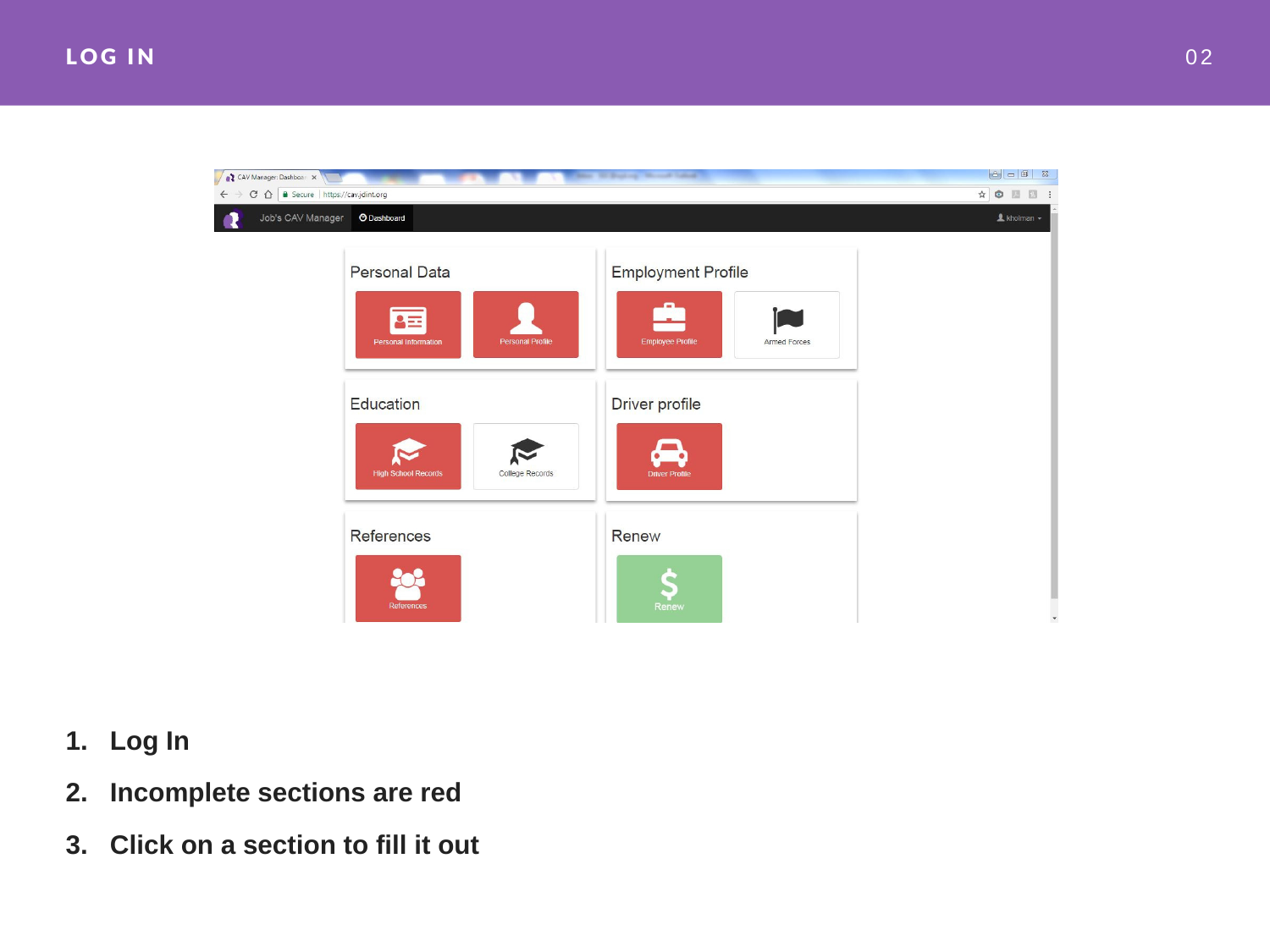

- **1. Log In**
- **2. Incomplete sections are red**
- **3. Click on a section to fill it out**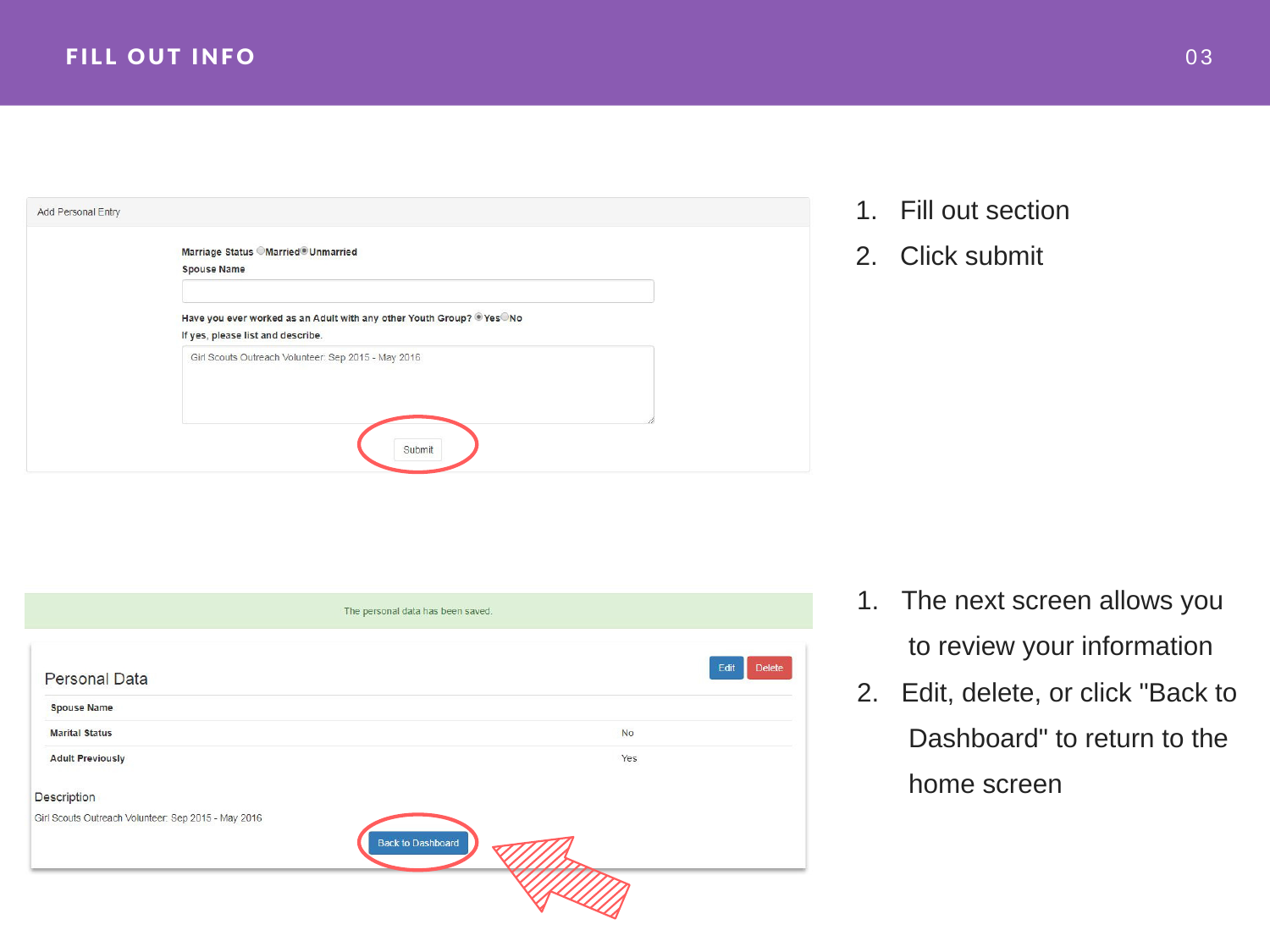| Marriage Status Married® Unmarried<br><b>Spouse Name</b>                                                  |
|-----------------------------------------------------------------------------------------------------------|
| Have you ever worked as an Adult with any other Youth Group? @Yes No<br>If yes, please list and describe. |
| Girl Scouts Outreach Volunteer: Sep 2015 - May 2016                                                       |
|                                                                                                           |
| Submit                                                                                                    |

- 1. Fill out section
- 2. Click submit

|                                                     | The personal data has been saved. |  |
|-----------------------------------------------------|-----------------------------------|--|
| <b>Personal Data</b>                                | <b>Delete</b><br>Edit             |  |
| <b>Spouse Name</b>                                  |                                   |  |
| <b>Marital Status</b>                               | <b>No</b>                         |  |
| <b>Adult Previously</b>                             | Yes                               |  |
| Description                                         |                                   |  |
| Girl Scouts Outreach Volunteer: Sep 2015 - May 2016 | <b>Back to Dashboard</b>          |  |
|                                                     |                                   |  |

- 1. The next screen allows you to review your information
- 2. Edit, delete, or click "Back to Dashboard" to return to the home screen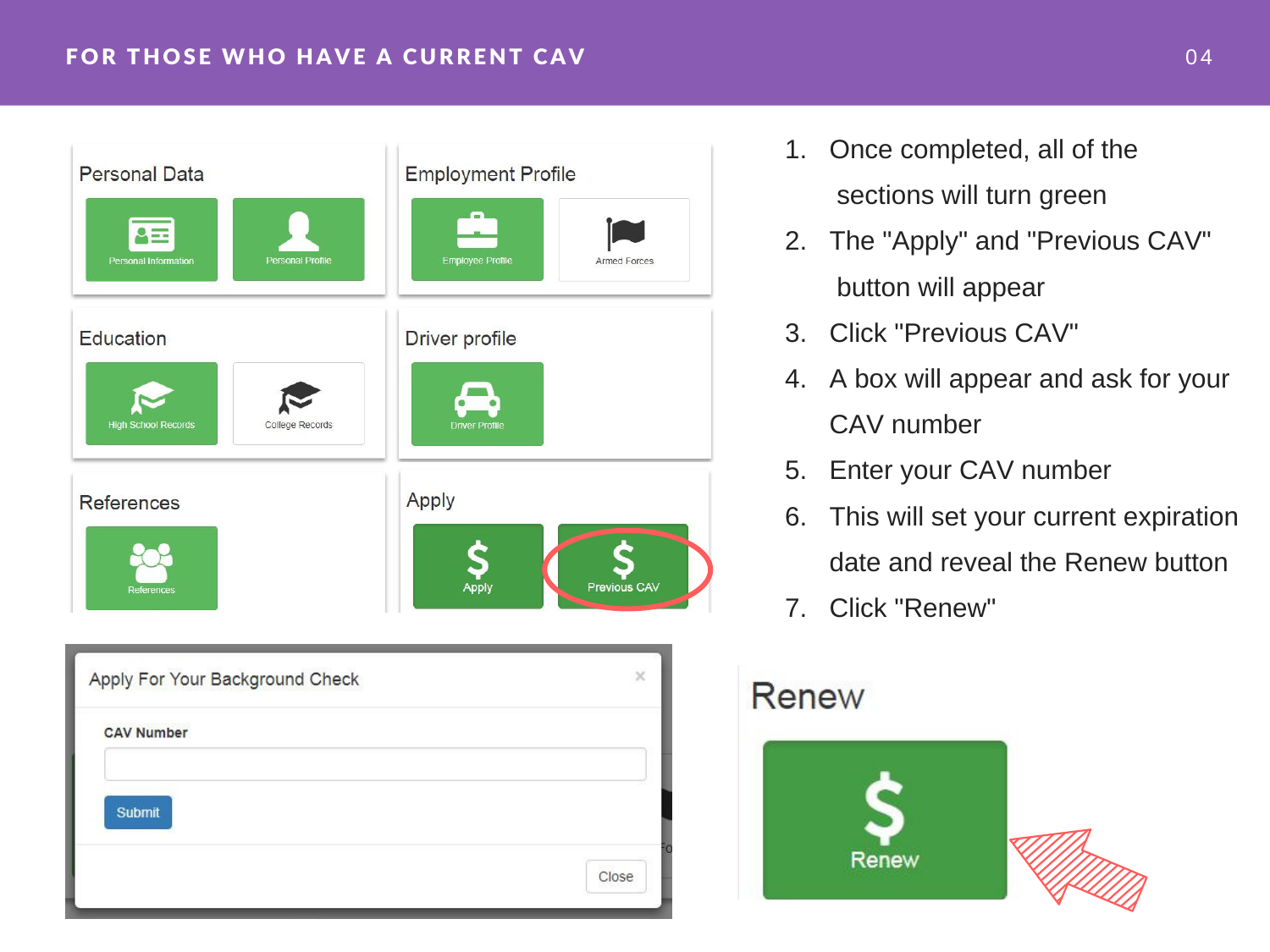#### FOR THOSE WHO HAVE A CURRENT CAV **CALL AND CONTROLLER CONTROL**



- 1. Once completed, all of the sections will turn green
- 2. The "Apply" and "Previous CAV" button will appear
- 3. Click "Previous CAV"
- 4. A box will appear and ask for your CAV number
- 5. Enter your CAV number
- 6. This will set your current expiration date and reveal the Renew button
- 7. Click "Renew"

#### **Renew**

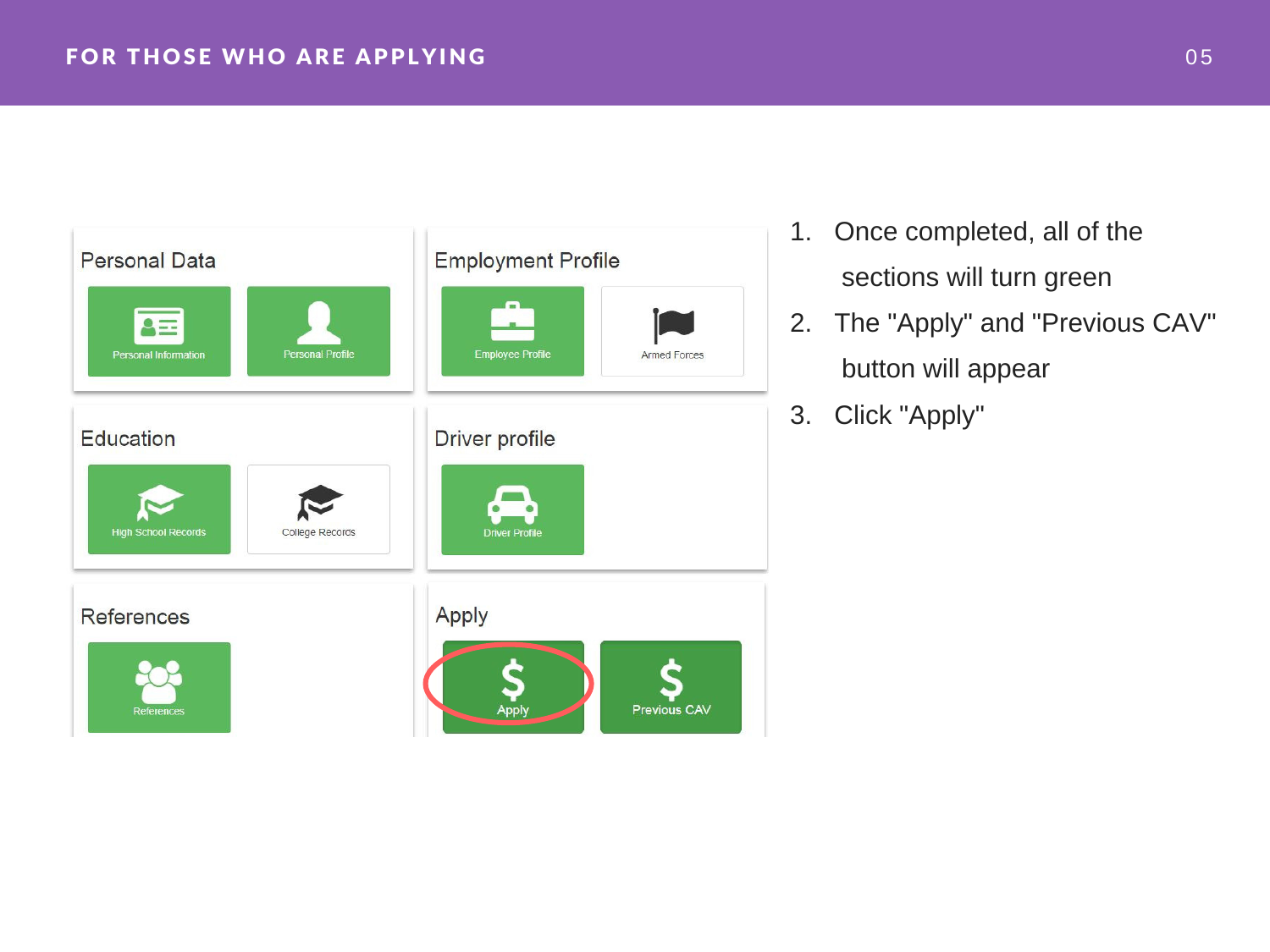

- 1. Once completed, all of the sections will turn green
- 2. The "Apply" and "Previous CAV" button will appear
- 3. Click "Apply"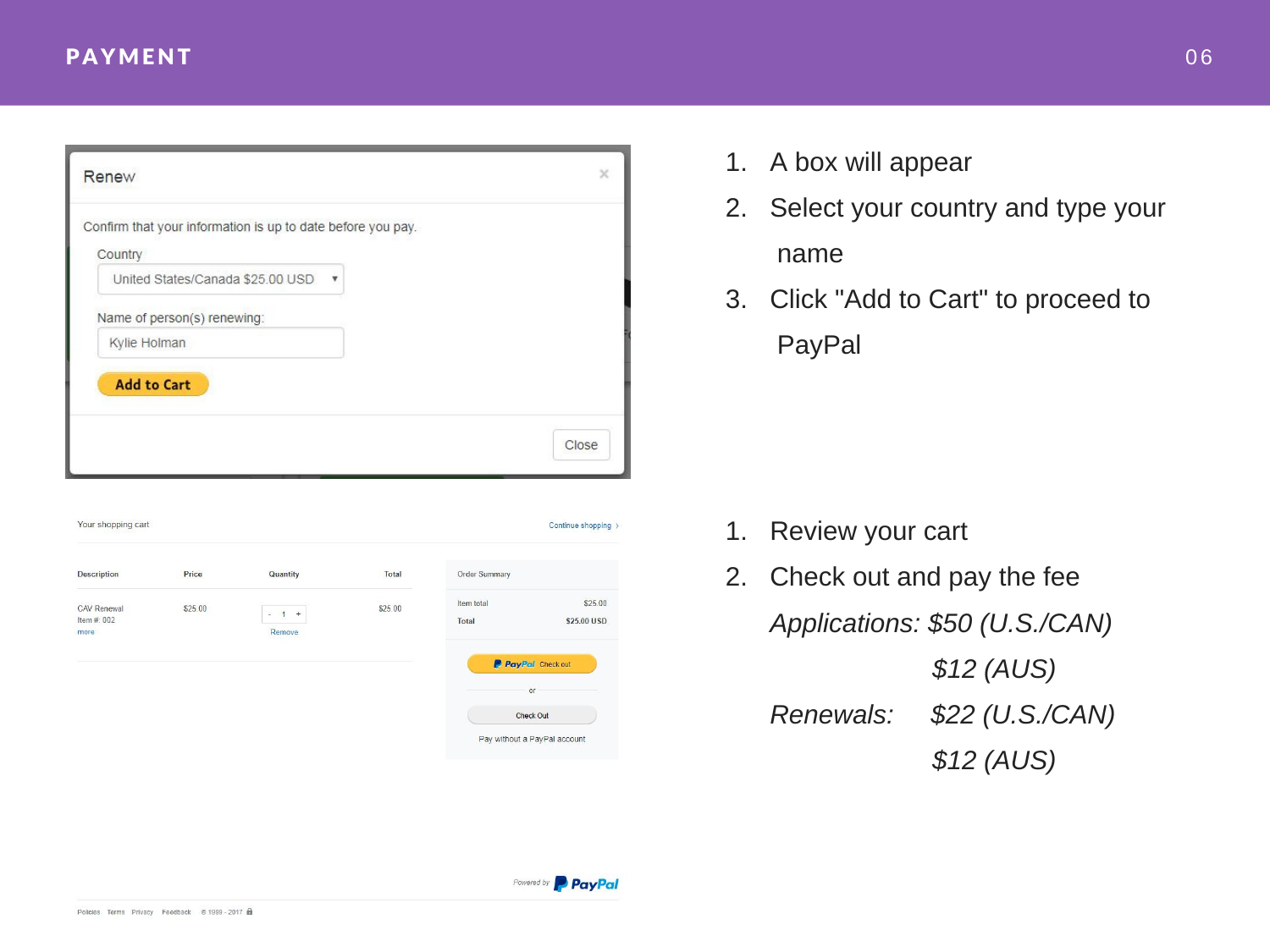| Renew                                                       |                           | ×     |
|-------------------------------------------------------------|---------------------------|-------|
| Confirm that your information is up to date before you pay. |                           |       |
| Country                                                     |                           |       |
| United States/Canada \$25.00 USD                            | $\boldsymbol{\mathrm{v}}$ |       |
| Name of person(s) renewing:                                 |                           |       |
| Kylie Holman                                                |                           |       |
| <b>Add to Cart</b>                                          |                           |       |
|                                                             |                           |       |
|                                                             |                           |       |
|                                                             |                           | Close |



- 1. A box will appear
- 2. Select your country and type your name
- 3. Click "Add to Cart" to proceed to PayPal

- 1. Review your cart
- 2. Check out and pay the fee *Applications: \$50 (U.S./CAN) \$12 (AUS) Renewals: \$22 (U.S./CAN) \$12 (AUS)*

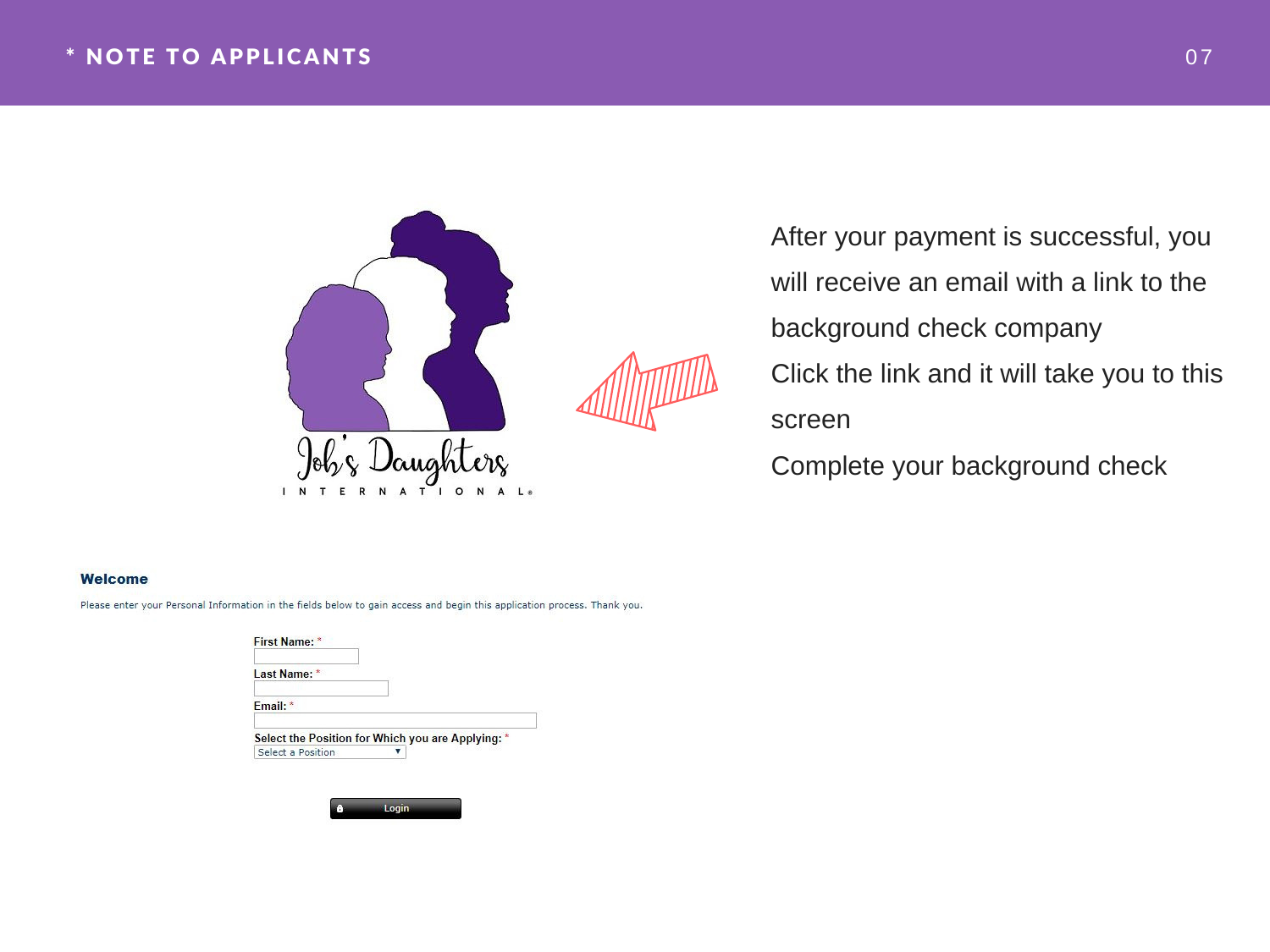#### \* N O TE T O APPL ICANTS 0 7



After your payment is successful, you will receive an email with a link to the background check company 2. Click the link and it will take you to this screen

Complete your background check

#### **Welcome**

Please enter your Personal Information in the fields below to gain access and begin this application process. Thank you.

| First Name: *                                     |  |
|---------------------------------------------------|--|
| Last Name: *                                      |  |
| Fmail: *                                          |  |
| Select the Position for Which you are Applying: * |  |
| Select a Position                                 |  |

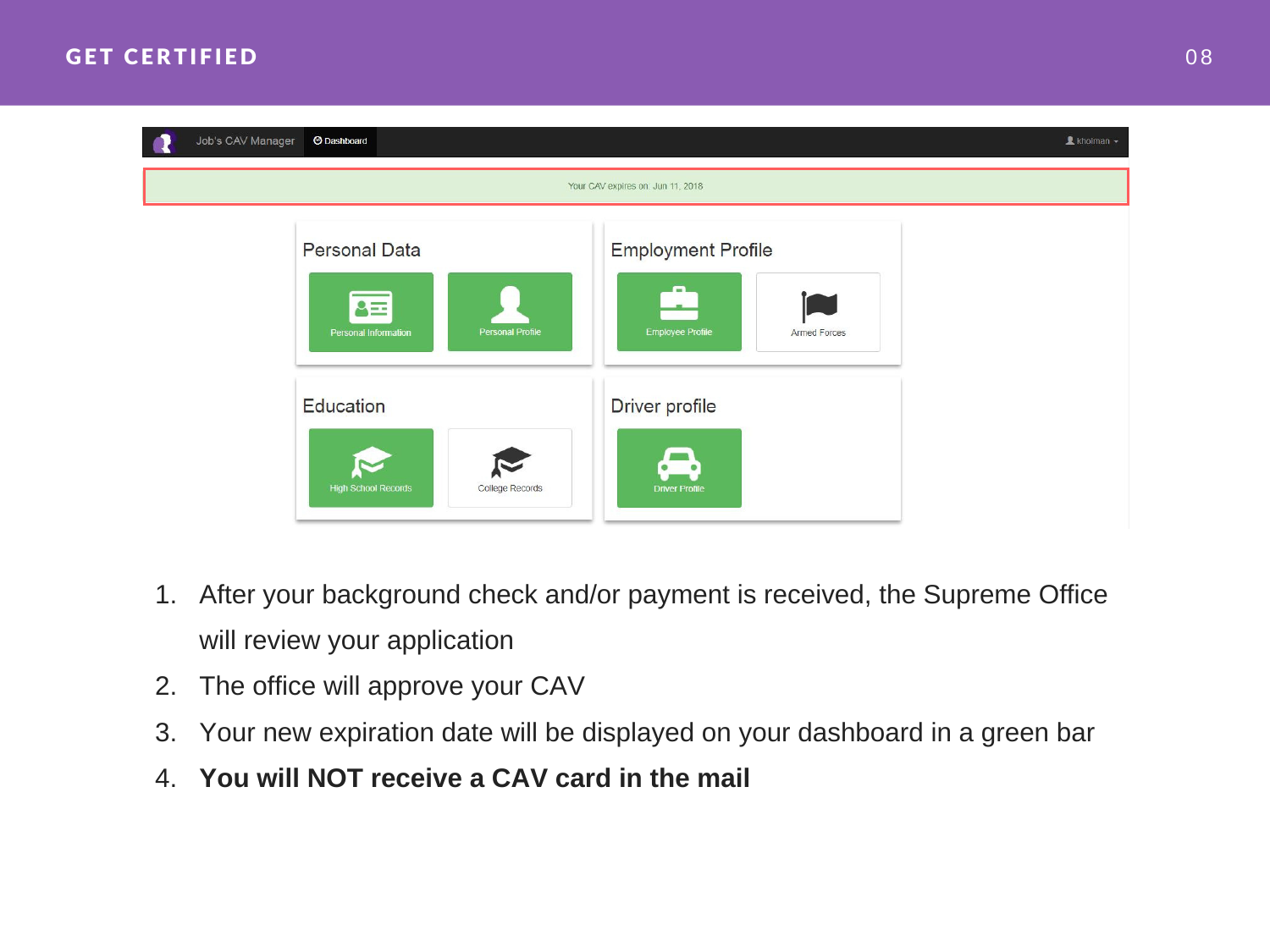

- 1. After your background check and/or payment is received, the Supreme Office will review your application
- 2. The office will approve your CAV
- 3. Your new expiration date will be displayed on your dashboard in a green bar
- 4. **You will NOT receive a CAV card in the mail**